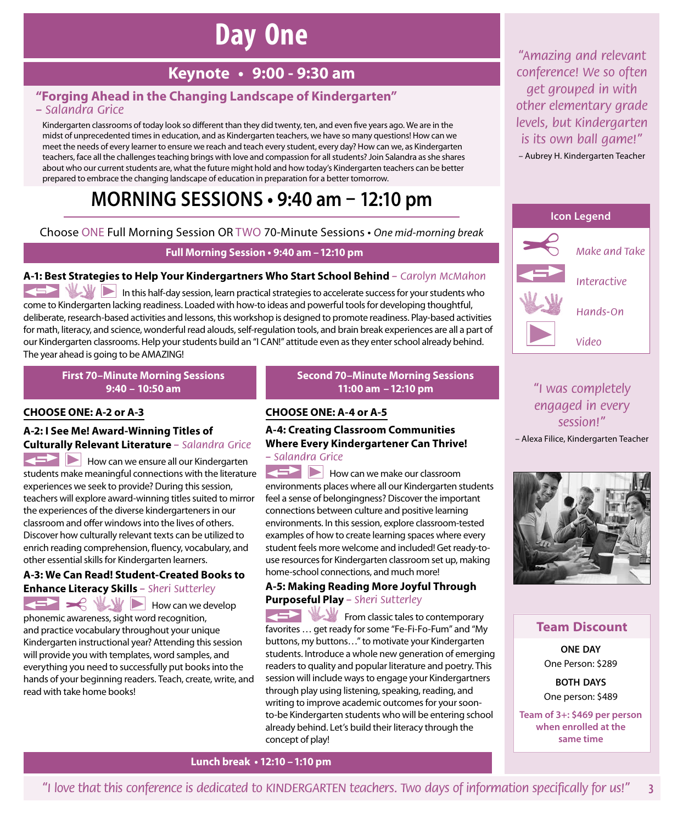# **Day One**

## **Keynote • 9:00 ‑ 9:30 am**

#### **"Forging Ahead in the Changing Landscape of Kindergarten"**  *– Salandra Grice*

Kindergarten classrooms of today look so different than they did twenty, ten, and even five years ago. We are in the midst of unprecedented times in education, and as Kindergarten teachers, we have so many questions! How can we meet the needs of every learner to ensure we reach and teach every student, every day? How can we, as Kindergarten teachers, face all the challenges teaching brings with love and compassion for all students? Join Salandra as she shares about who our current students are, what the future might hold and how today's Kindergarten teachers can be better prepared to embrace the changing landscape of education in preparation for a better tomorrow.

## **MORNING SESSIONS • 9:40 am – 12:10 pm**

Choose ONE Full Morning Session OR TWO 70-Minute Sessions • *One mid-morning break*

#### **Full Morning Session • 9:40 am –12:10 pm**

#### **A‑1: Best Strategies to Help Your Kindergartners Who Start School Behind** *– Carolyn McMahon*

In this half-day session, learn practical strategies to accelerate success for your students who come to Kindergarten lacking readiness. Loaded with how-to ideas and powerful tools for developing thoughtful, deliberate, research-based activities and lessons, this workshop is designed to promote readiness. Play-based activities for math, literacy, and science, wonderful read alouds, self-regulation tools, and brain break experiences are all a part of our Kindergarten classrooms. Help your students build an "I CAN!" attitude even as they enter school already behind. The year ahead is going to be AMAZING!

**First 70–Minute Morning Sessions 9:40 – 10:50 am** 

#### **CHOOSE ONE: A‑2 or A‑3**

#### **A‑2: I See Me! Award-Winning Titles of Culturally Relevant Literature** *– Salandra Grice*

How can we ensure all our Kindergarten students make meaningful connections with the literature experiences we seek to provide? During this session, teachers will explore award-winning titles suited to mirror the experiences of the diverse kindergarteners in our classroom and offer windows into the lives of others. Discover how culturally relevant texts can be utilized to enrich reading comprehension, fluency, vocabulary, and other essential skills for Kindergarten learners.

#### **A‑3: We Can Read! Student-Created Books to Enhance Literacy Skills** *– Sheri Sutterley*

How can we develop phonemic awareness, sight word recognition, and practice vocabulary throughout your unique Kindergarten instructional year? Attending this session will provide you with templates, word samples, and everything you need to successfully put books into the hands of your beginning readers. Teach, create, write, and read with take home books!

#### **Second 70–Minute Morning Sessions 11:00 am –12:10 pm**

#### **CHOOSE ONE: A‑4 or A‑5**

#### **A‑4: Creating Classroom Communities Where Every Kindergartener Can Thrive!**  *– Salandra Grice*

**How can we make our classroom** environments places where all our Kindergarten students feel a sense of belongingness? Discover the important connections between culture and positive learning environments. In this session, explore classroom-tested examples of how to create learning spaces where every student feels more welcome and included! Get ready-touse resources for Kindergarten classroom set up, making home-school connections, and much more!

#### **A‑5: Making Reading More Joyful Through Purposeful Play** *– Sheri Sutterley*

From classic tales to contemporary favorites … get ready for some "Fe-Fi-Fo-Fum" and "My buttons, my buttons…" to motivate your Kindergarten students. Introduce a whole new generation of emerging readers to quality and popular literature and poetry. This session will include ways to engage your Kindergartners through play using listening, speaking, reading, and writing to improve academic outcomes for your soonto-be Kindergarten students who will be entering school already behind. Let's build their literacy through the concept of play!

*"Amazing and relevant conference! We so often get grouped in with other elementary grade levels, but Kindergarten is its own ball game!"* – Aubrey H. Kindergarten Teacher



### *"I was completely engaged in every session!"*

– Alexa Filice, Kindergarten Teacher



#### **Team Discount**

**ONE DAY** One Person: \$289

**BOTH DAYS** One person: \$489

**Team of 3+: \$469 per person when enrolled at the same time**

**Lunch break • 12:10 –1:10 pm**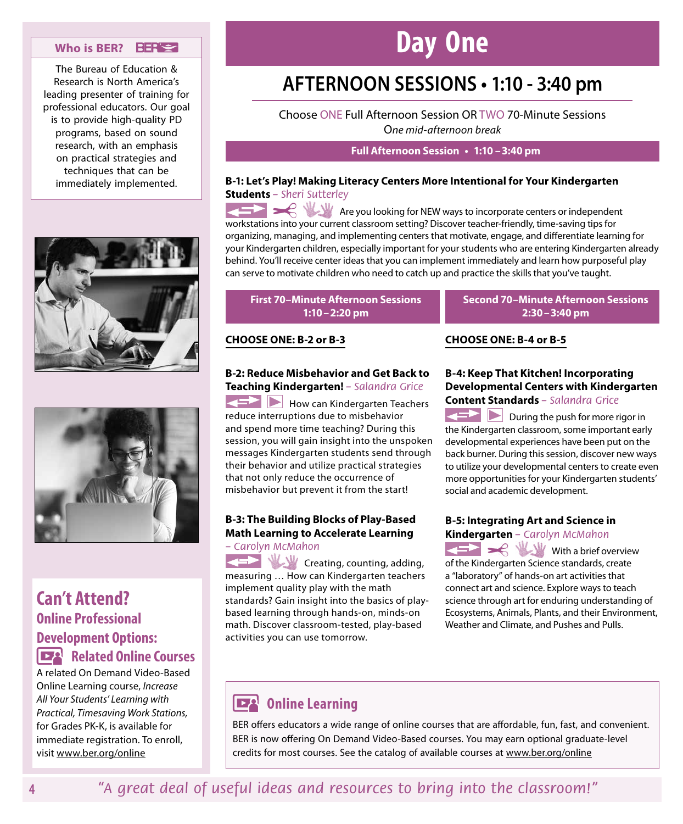#### **Who is BER?**

The Bureau of Education & Research is North America's leading presenter of training for professional educators. Our goal is to provide high-quality PD programs, based on sound research, with an emphasis on practical strategies and techniques that can be immediately implemented.





### **Can't Attend? Online Professional Development Options: Related Online Courses**

A related On Demand Video-Based Online Learning course, *Increase All Your Students' Learning with Practical, Timesaving Work Stations,*  for Grades PK-K, is available for immediate registration. To enroll, visit www.ber.org/online

# **Day One**

## **AFTERNOON SESSIONS • 1:10 - 3:40 pm**

Choose ONE Full Afternoon Session OR TWO 70-Minute Sessions O*ne mid-afternoon break*

#### **Full Afternoon Session • 1:10 –3:40 pm**

#### **B‑1: Let's Play! Making Literacy Centers More Intentional for Your Kindergarten Students** *– Sheri Sutterley*

**Are you looking for NEW ways to incorporate centers or independent** workstations into your current classroom setting? Discover teacher-friendly, time-saving tips for organizing, managing, and implementing centers that motivate, engage, and differentiate learning for your Kindergarten children, especially important for your students who are entering Kindergarten already behind. You'll receive center ideas that you can implement immediately and learn how purposeful play can serve to motivate children who need to catch up and practice the skills that you've taught.

#### **First 70–Minute Afternoon Sessions 1:10–2:20 pm**

#### **CHOOSE ONE: B‑2 or B‑3**

#### **B‑2: Reduce Misbehavior and Get Back to Teaching Kindergarten!** *– Salandra Grice*

How can Kindergarten Teachers reduce interruptions due to misbehavior and spend more time teaching? During this session, you will gain insight into the unspoken messages Kindergarten students send through their behavior and utilize practical strategies that not only reduce the occurrence of misbehavior but prevent it from the start!

#### **B‑3: The Building Blocks of Play-Based Math Learning to Accelerate Learning**  *– Carolyn McMahon*

**Creating, counting, adding,** measuring … How can Kindergarten teachers implement quality play with the math standards? Gain insight into the basics of playbased learning through hands-on, minds-on math. Discover classroom-tested, play-based activities you can use tomorrow.

#### **Second 70–Minute Afternoon Sessions 2:30–3:40 pm**

#### **CHOOSE ONE: B‑4 or B‑5**

#### **B‑4: Keep That Kitchen! Incorporating Developmental Centers with Kindergarten Content Standards** *– Salandra Grice*

**During the push for more rigor in** the Kindergarten classroom, some important early developmental experiences have been put on the back burner. During this session, discover new ways to utilize your developmental centers to create even more opportunities for your Kindergarten students' social and academic development.

#### **B‑5: Integrating Art and Science in Kindergarten** *– Carolyn McMahon*

With a brief overview of the Kindergarten Science standards, create a "laboratory" of hands-on art activities that connect art and science. Explore ways to teach science through art for enduring understanding of Ecosystems, Animals, Plants, and their Environment, Weather and Climate, and Pushes and Pulls.

### **DEA** Online Learning

BER offers educators a wide range of online courses that are affordable, fun, fast, and convenient. BER is now offering On Demand Video-Based courses. You may earn optional graduate-level credits for most courses. See the catalog of available courses at www.ber.org/online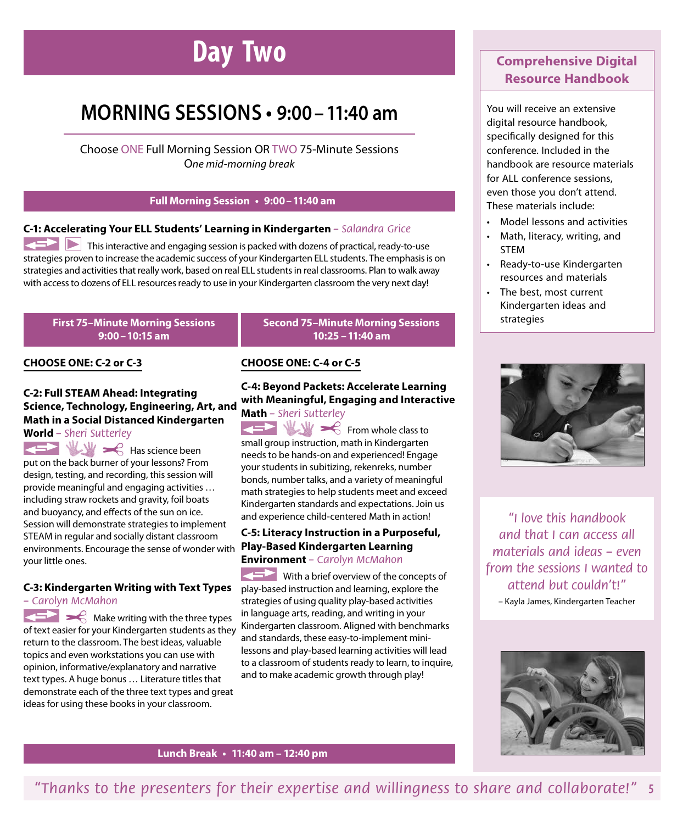# **Day Two**

## **MORNING SESSIONS • 9:00–11:40 am**

Choose ONE Full Morning Session OR TWO 75-Minute Sessions O*ne mid-morning break*

#### **Full Morning Session • 9:00–11:40 am**

#### **C‑1: Accelerating Your ELL Students' Learning in Kindergarten** *– Salandra Grice*

This interactive and engaging session is packed with dozens of practical, ready-to-use strategies proven to increase the academic success of your Kindergarten ELL students. The emphasis is on strategies and activities that really work, based on real ELL students in real classrooms. Plan to walk away with access to dozens of ELL resources ready to use in your Kindergarten classroom the very next day!

#### **First 75–Minute Morning Sessions 9:00–10:15 am**

#### **CHOOSE ONE: C‑2 or C‑3**

#### **C‑2: Full STEAM Ahead: Integrating Science, Technology, Engineering, Art, and Math in a Social Distanced Kindergarten World** *– Sheri Sutterley*

 $\leq$   $\leq$   $\leq$  Has science been put on the back burner of your lessons? From design, testing, and recording, this session will provide meaningful and engaging activities … including straw rockets and gravity, foil boats and buoyancy, and effects of the sun on ice. Session will demonstrate strategies to implement STEAM in regular and socially distant classroom environments. Encourage the sense of wonder with **Play-Based Kindergarten Learning**  your little ones.

#### **C‑3: Kindergarten Writing with Text Types**  *– Carolyn McMahon*

Make writing with the three types of text easier for your Kindergarten students as they return to the classroom. The best ideas, valuable topics and even workstations you can use with opinion, informative/explanatory and narrative text types. A huge bonus … Literature titles that demonstrate each of the three text types and great ideas for using these books in your classroom.

#### **CHOOSE ONE: C‑4 or C‑5**

#### **C‑4: Beyond Packets: Accelerate Learning with Meaningful, Engaging and Interactive Math** *– Sheri Sutterley*

**Second 75–Minute Morning Sessions 10:25 –11:40 am**

From whole class to small group instruction, math in Kindergarten needs to be hands-on and experienced! Engage your students in subitizing, rekenreks, number bonds, number talks, and a variety of meaningful math strategies to help students meet and exceed Kindergarten standards and expectations. Join us and experience child-centered Math in action!

## **C‑5: Literacy Instruction in a Purposeful, Environment** *– Carolyn McMahon*

With a brief overview of the concepts of play-based instruction and learning, explore the strategies of using quality play-based activities in language arts, reading, and writing in your Kindergarten classroom. Aligned with benchmarks and standards, these easy-to-implement minilessons and play-based learning activities will lead to a classroom of students ready to learn, to inquire, and to make academic growth through play!

### **Comprehensive Digital Resource Handbook**

You will receive an extensive digital resource handbook, specifically designed for this conference. Included in the handbook are resource materials for ALL conference sessions, even those you don't attend. These materials include:

- Model lessons and activities
- Math, literacy, writing, and STEM
- Ready-to-use Kindergarten resources and materials
- The best, most current Kindergarten ideas and strategies



*"I love this handbook and that I can access all materials and ideas – even from the sessions I wanted to attend but couldn't!"* – Kayla James, Kindergarten Teacher



**Lunch Break • 11:40 am – 12:40 pm**